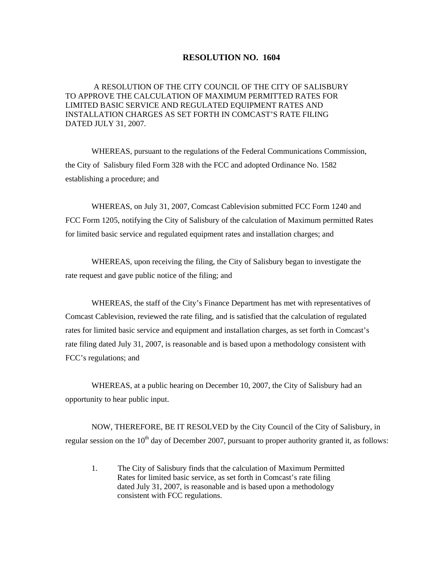## **RESOLUTION NO. 1604**

A RESOLUTION OF THE CITY COUNCIL OF THE CITY OF SALISBURY TO APPROVE THE CALCULATION OF MAXIMUM PERMITTED RATES FOR LIMITED BASIC SERVICE AND REGULATED EQUIPMENT RATES AND INSTALLATION CHARGES AS SET FORTH IN COMCAST'S RATE FILING DATED JULY 31, 2007.

WHEREAS, pursuant to the regulations of the Federal Communications Commission, the City of Salisbury filed Form 328 with the FCC and adopted Ordinance No. 1582 establishing a procedure; and

 WHEREAS, on July 31, 2007, Comcast Cablevision submitted FCC Form 1240 and FCC Form 1205, notifying the City of Salisbury of the calculation of Maximum permitted Rates for limited basic service and regulated equipment rates and installation charges; and

 WHEREAS, upon receiving the filing, the City of Salisbury began to investigate the rate request and gave public notice of the filing; and

 WHEREAS, the staff of the City's Finance Department has met with representatives of Comcast Cablevision, reviewed the rate filing, and is satisfied that the calculation of regulated rates for limited basic service and equipment and installation charges, as set forth in Comcast's rate filing dated July 31, 2007, is reasonable and is based upon a methodology consistent with FCC's regulations; and

 WHEREAS, at a public hearing on December 10, 2007, the City of Salisbury had an opportunity to hear public input.

 NOW, THEREFORE, BE IT RESOLVED by the City Council of the City of Salisbury, in regular session on the  $10^{th}$  day of December 2007, pursuant to proper authority granted it, as follows:

 1. The City of Salisbury finds that the calculation of Maximum Permitted Rates for limited basic service, as set forth in Comcast's rate filing dated July 31, 2007, is reasonable and is based upon a methodology consistent with FCC regulations.